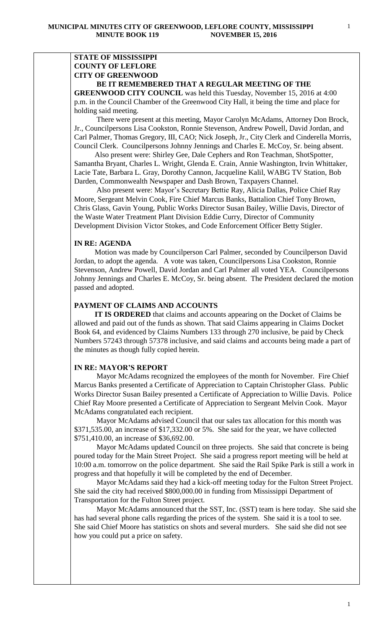# **STATE OF MISSISSIPPI COUNTY OF LEFLORE CITY OF GREENWOOD**

### **BE IT REMEMBERED THAT A REGULAR MEETING OF THE**

**GREENWOOD CITY COUNCIL** was held this Tuesday, November 15, 2016 at 4:00 p.m. in the Council Chamber of the Greenwood City Hall, it being the time and place for holding said meeting.

There were present at this meeting, Mayor Carolyn McAdams, Attorney Don Brock, Jr., Councilpersons Lisa Cookston, Ronnie Stevenson, Andrew Powell, David Jordan, and Carl Palmer, Thomas Gregory, III, CAO; Nick Joseph, Jr., City Clerk and Cinderella Morris, Council Clerk. Councilpersons Johnny Jennings and Charles E. McCoy, Sr. being absent.

 Also present were: Shirley Gee, Dale Cephers and Ron Teachman, ShotSpotter, Samantha Bryant, Charles L. Wright, Glenda E. Crain, Annie Washington, Irvin Whittaker, Lacie Tate, Barbara L. Gray, Dorothy Cannon, Jacqueline Kalil, WABG TV Station, Bob Darden, Commonwealth Newspaper and Dash Brown, Taxpayers Channel.

 Also present were: Mayor's Secretary Bettie Ray, Alicia Dallas, Police Chief Ray Moore, Sergeant Melvin Cook, Fire Chief Marcus Banks, Battalion Chief Tony Brown, Chris Glass, Gavin Young, Public Works Director Susan Bailey, Willie Davis, Director of the Waste Water Treatment Plant Division Eddie Curry, Director of Community Development Division Victor Stokes, and Code Enforcement Officer Betty Stigler.

#### **IN RE: AGENDA**

 Motion was made by Councilperson Carl Palmer, seconded by Councilperson David Jordan, to adopt the agenda. A vote was taken, Councilpersons Lisa Cookston, Ronnie Stevenson, Andrew Powell, David Jordan and Carl Palmer all voted YEA. Councilpersons Johnny Jennings and Charles E. McCoy, Sr. being absent.The President declared the motion passed and adopted.

#### **PAYMENT OF CLAIMS AND ACCOUNTS**

 **IT IS ORDERED** that claims and accounts appearing on the Docket of Claims be allowed and paid out of the funds as shown. That said Claims appearing in Claims Docket Book 64, and evidenced by Claims Numbers 133 through 270 inclusive, be paid by Check Numbers 57243 through 57378 inclusive, and said claims and accounts being made a part of the minutes as though fully copied herein.

#### **IN RE: MAYOR'S REPORT**

 Mayor McAdams recognized the employees of the month for November. Fire Chief Marcus Banks presented a Certificate of Appreciation to Captain Christopher Glass. Public Works Director Susan Bailey presented a Certificate of Appreciation to Willie Davis. Police Chief Ray Moore presented a Certificate of Appreciation to Sergeant Melvin Cook. Mayor McAdams congratulated each recipient.

 Mayor McAdams advised Council that our sales tax allocation for this month was \$371,535.00, an increase of \$17,332.00 or 5%. She said for the year, we have collected \$751,410.00, an increase of \$36,692.00.

 Mayor McAdams updated Council on three projects. She said that concrete is being poured today for the Main Street Project. She said a progress report meeting will be held at 10:00 a.m. tomorrow on the police department. She said the Rail Spike Park is still a work in progress and that hopefully it will be completed by the end of December.

 Mayor McAdams said they had a kick-off meeting today for the Fulton Street Project. She said the city had received \$800,000.00 in funding from Mississippi Department of Transportation for the Fulton Street project.

 Mayor McAdams announced that the SST, Inc. (SST) team is here today. She said she has had several phone calls regarding the prices of the system. She said it is a tool to see. She said Chief Moore has statistics on shots and several murders. She said she did not see how you could put a price on safety.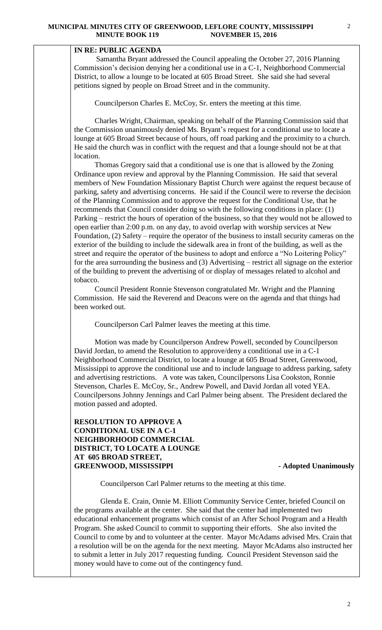# **IN RE: PUBLIC AGENDA**

 Samantha Bryant addressed the Council appealing the October 27, 2016 Planning Commission's decision denying her a conditional use in a C-1, Neighborhood Commercial District, to allow a lounge to be located at 605 Broad Street. She said she had several petitions signed by people on Broad Street and in the community.

Councilperson Charles E. McCoy, Sr. enters the meeting at this time.

 Charles Wright, Chairman, speaking on behalf of the Planning Commission said that the Commission unanimously denied Ms. Bryant's request for a conditional use to locate a lounge at 605 Broad Street because of hours, off road parking and the proximity to a church. He said the church was in conflict with the request and that a lounge should not be at that location.

 Thomas Gregory said that a conditional use is one that is allowed by the Zoning Ordinance upon review and approval by the Planning Commission. He said that several members of New Foundation Missionary Baptist Church were against the request because of parking, safety and advertising concerns. He said if the Council were to reverse the decision of the Planning Commission and to approve the request for the Conditional Use, that he recommends that Council consider doing so with the following conditions in place: (1) Parking – restrict the hours of operation of the business, so that they would not be allowed to open earlier than 2:00 p.m. on any day, to avoid overlap with worship services at New Foundation, (2) Safety – require the operator of the business to install security cameras on the exterior of the building to include the sidewalk area in front of the building, as well as the street and require the operator of the business to adopt and enforce a "No Loitering Policy" for the area surrounding the business and (3) Advertising – restrict all signage on the exterior of the building to prevent the advertising of or display of messages related to alcohol and tobacco.

 Council President Ronnie Stevenson congratulated Mr. Wright and the Planning Commission. He said the Reverend and Deacons were on the agenda and that things had been worked out.

Councilperson Carl Palmer leaves the meeting at this time.

 Motion was made by Councilperson Andrew Powell, seconded by Councilperson David Jordan, to amend the Resolution to approve/deny a conditional use in a C-1 Neighborhood Commercial District, to locate a lounge at 605 Broad Street, Greenwood, Mississippi to approve the conditional use and to include language to address parking, safety and advertising restrictions. A vote was taken, Councilpersons Lisa Cookston, Ronnie Stevenson, Charles E. McCoy, Sr., Andrew Powell, and David Jordan all voted YEA. Councilpersons Johnny Jennings and Carl Palmer being absent.The President declared the motion passed and adopted.

### **RESOLUTION TO APPROVE A CONDITIONAL USE IN A C-1 NEIGHBORHOOD COMMERCIAL DISTRICT, TO LOCATE A LOUNGE AT 605 BROAD STREET,**  GREENWOOD, MISSISSIPPI - **Adopted Unanimously**

Councilperson Carl Palmer returns to the meeting at this time.

 Glenda E. Crain, Onnie M. Elliott Community Service Center, briefed Council on the programs available at the center. She said that the center had implemented two educational enhancement programs which consist of an After School Program and a Health Program. She asked Council to commit to supporting their efforts. She also invited the Council to come by and to volunteer at the center. Mayor McAdams advised Mrs. Crain that a resolution will be on the agenda for the next meeting. Mayor McAdams also instructed her to submit a letter in July 2017 requesting funding. Council President Stevenson said the money would have to come out of the contingency fund.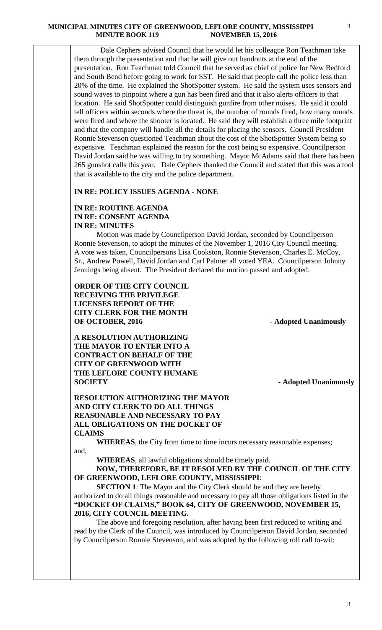#### **MUNICIPAL MINUTES CITY OF GREENWOOD, LEFLORE COUNTY, MISSISSIPPI MINUTE BOOK 119 NOVEMBER 15, 2016**

 Dale Cephers advised Council that he would let his colleague Ron Teachman take them through the presentation and that he will give out handouts at the end of the presentation. Ron Teachman told Council that he served as chief of police for New Bedford and South Bend before going to work for SST. He said that people call the police less than 20% of the time. He explained the ShotSpotter system. He said the system uses sensors and sound waves to pinpoint where a gun has been fired and that it also alerts officers to that location. He said ShotSpotter could distinguish gunfire from other noises. He said it could tell officers within seconds where the threat is, the number of rounds fired, how many rounds were fired and where the shooter is located. He said they will establish a three mile footprint and that the company will handle all the details for placing the sensors. Council President Ronnie Stevenson questioned Teachman about the cost of the ShotSpotter System being so expensive. Teachman explained the reason for the cost being so expensive. Councilperson David Jordan said he was willing to try something. Mayor McAdams said that there has been 265 gunshot calls this year. Dale Cephers thanked the Council and stated that this was a tool that is available to the city and the police department.

### **IN RE: POLICY ISSUES AGENDA - NONE**

### **IN RE: ROUTINE AGENDA IN RE: CONSENT AGENDA IN RE: MINUTES**

 Motion was made by Councilperson David Jordan, seconded by Councilperson Ronnie Stevenson, to adopt the minutes of the November 1, 2016 City Council meeting. A vote was taken, Councilpersons Lisa Cookston, Ronnie Stevenson, Charles E. McCoy, Sr., Andrew Powell, David Jordan and Carl Palmer all voted YEA. Councilperson Johnny Jennings being absent. The President declared the motion passed and adopted.

**ORDER OF THE CITY COUNCIL RECEIVING THE PRIVILEGE LICENSES REPORT OF THE CITY CLERK FOR THE MONTH OF OCTOBER, 2016** - **Adopted Unanimously** 

**A RESOLUTION AUTHORIZING THE MAYOR TO ENTER INTO A CONTRACT ON BEHALF OF THE CITY OF GREENWOOD WITH THE LEFLORE COUNTY HUMANE SOCIETY** - **Adopted Unanimously** 

**RESOLUTION AUTHORIZING THE MAYOR AND CITY CLERK TO DO ALL THINGS REASONABLE AND NECESSARY TO PAY ALL OBLIGATIONS ON THE DOCKET OF CLAIMS**

**WHEREAS**, the City from time to time incurs necessary reasonable expenses; and,

**WHEREAS**, all lawful obligations should be timely paid.

**NOW, THEREFORE, BE IT RESOLVED BY THE COUNCIL OF THE CITY OF GREENWOOD, LEFLORE COUNTY, MISSISSIPPI**:

**SECTION 1**: The Mayor and the City Clerk should be and they are hereby authorized to do all things reasonable and necessary to pay all those obligations listed in the **"DOCKET OF CLAIMS," BOOK 64, CITY OF GREENWOOD, NOVEMBER 15, 2016, CITY COUNCIL MEETING.**

The above and foregoing resolution, after having been first reduced to writing and read by the Clerk of the Council, was introduced by Councilperson David Jordan, seconded by Councilperson Ronnie Stevenson, and was adopted by the following roll call to-wit: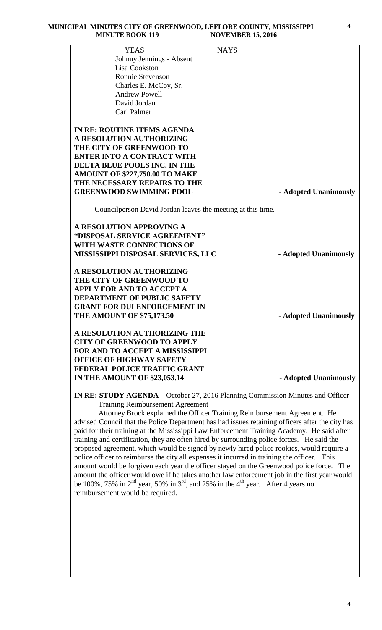| <b>YEAS</b>                                                                                      | <b>NAYS</b>                                                                                     |
|--------------------------------------------------------------------------------------------------|-------------------------------------------------------------------------------------------------|
| Johnny Jennings - Absent                                                                         |                                                                                                 |
| Lisa Cookston                                                                                    |                                                                                                 |
| <b>Ronnie Stevenson</b>                                                                          |                                                                                                 |
| Charles E. McCoy, Sr.                                                                            |                                                                                                 |
| <b>Andrew Powell</b>                                                                             |                                                                                                 |
|                                                                                                  |                                                                                                 |
| David Jordan                                                                                     |                                                                                                 |
| Carl Palmer                                                                                      |                                                                                                 |
| IN RE: ROUTINE ITEMS AGENDA                                                                      |                                                                                                 |
|                                                                                                  |                                                                                                 |
| A RESOLUTION AUTHORIZING                                                                         |                                                                                                 |
| THE CITY OF GREENWOOD TO                                                                         |                                                                                                 |
| <b>ENTER INTO A CONTRACT WITH</b>                                                                |                                                                                                 |
| <b>DELTA BLUE POOLS INC. IN THE</b>                                                              |                                                                                                 |
| <b>AMOUNT OF \$227,750.00 TO MAKE</b>                                                            |                                                                                                 |
| THE NECESSARY REPAIRS TO THE                                                                     |                                                                                                 |
| <b>GREENWOOD SWIMMING POOL</b>                                                                   | - Adopted Unanimously                                                                           |
|                                                                                                  |                                                                                                 |
| Council person David Jordan leaves the meeting at this time.                                     |                                                                                                 |
| A RESOLUTION APPROVING A                                                                         |                                                                                                 |
| "DISPOSAL SERVICE AGREEMENT"                                                                     |                                                                                                 |
|                                                                                                  |                                                                                                 |
| WITH WASTE CONNECTIONS OF                                                                        |                                                                                                 |
| MISSISSIPPI DISPOSAL SERVICES, LLC                                                               | - Adopted Unanimously                                                                           |
| A RESOLUTION AUTHORIZING                                                                         |                                                                                                 |
| THE CITY OF GREENWOOD TO                                                                         |                                                                                                 |
|                                                                                                  |                                                                                                 |
| APPLY FOR AND TO ACCEPT A                                                                        |                                                                                                 |
| <b>DEPARTMENT OF PUBLIC SAFETY</b>                                                               |                                                                                                 |
| <b>GRANT FOR DUI ENFORCEMENT IN</b>                                                              |                                                                                                 |
| <b>THE AMOUNT OF \$75,173.50</b>                                                                 | - Adopted Unanimously                                                                           |
| A RESOLUTION AUTHORIZING THE                                                                     |                                                                                                 |
| <b>CITY OF GREENWOOD TO APPLY</b>                                                                |                                                                                                 |
| FOR AND TO ACCEPT A MISSISSIPPI                                                                  |                                                                                                 |
| <b>OFFICE OF HIGHWAY SAFETY</b>                                                                  |                                                                                                 |
| FEDERAL POLICE TRAFFIC GRANT                                                                     |                                                                                                 |
| <b>IN THE AMOUNT OF \$23,053.14</b>                                                              | - Adopted Unanimously                                                                           |
|                                                                                                  |                                                                                                 |
|                                                                                                  | <b>IN RE: STUDY AGENDA</b> – October 27, 2016 Planning Commission Minutes and Officer           |
| <b>Training Reimbursement Agreement</b>                                                          |                                                                                                 |
|                                                                                                  | Attorney Brock explained the Officer Training Reimbursement Agreement. He                       |
|                                                                                                  | advised Council that the Police Department has had issues retaining officers after the city has |
|                                                                                                  | paid for their training at the Mississippi Law Enforcement Training Academy. He said after      |
|                                                                                                  |                                                                                                 |
| training and certification, they are often hired by surrounding police forces. He said the       |                                                                                                 |
| proposed agreement, which would be signed by newly hired police rookies, would require a         |                                                                                                 |
| police officer to reimburse the city all expenses it incurred in training the officer. This      |                                                                                                 |
| amount would be forgiven each year the officer stayed on the Greenwood police force. The         |                                                                                                 |
|                                                                                                  | amount the officer would owe if he takes another law enforcement job in the first year would    |
| be 100%, 75% in $2nd$ year, 50% in $3rd$ , and 25% in the 4 <sup>th</sup> year. After 4 years no |                                                                                                 |
| reimbursement would be required.                                                                 |                                                                                                 |
|                                                                                                  |                                                                                                 |
|                                                                                                  |                                                                                                 |
|                                                                                                  |                                                                                                 |
|                                                                                                  |                                                                                                 |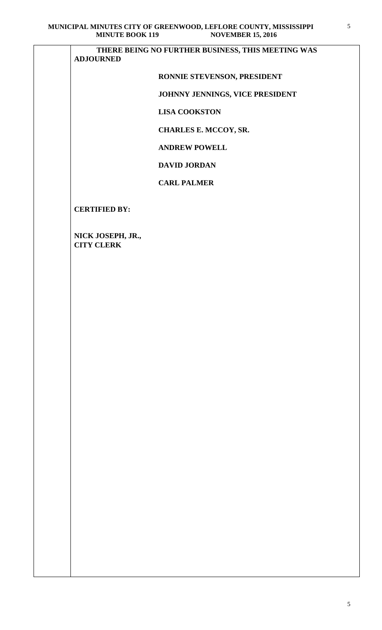# **THERE BEING NO FURTHER BUSINESS, THIS MEETING WAS ADJOURNED**

# **RONNIE STEVENSON, PRESIDENT**

## **JOHNNY JENNINGS, VICE PRESIDENT**

 **LISA COOKSTON**

 **CHARLES E. MCCOY, SR.** 

 **ANDREW POWELL**

# **DAVID JORDAN**

### **CARL PALMER**

**CERTIFIED BY:**

**NICK JOSEPH, JR., CITY CLERK**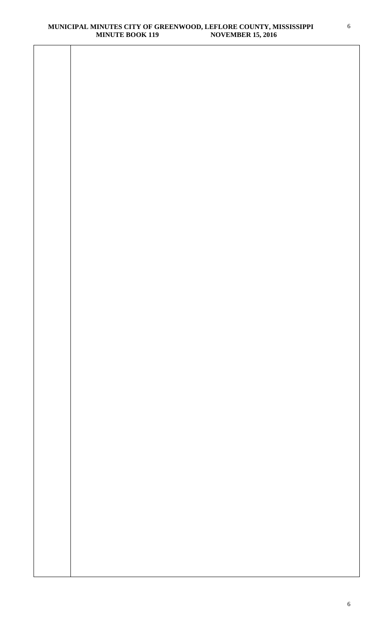#### **MUNICIPAL MINUTES CITY OF GREENWOOD, LEFLORE COUNTY, MISSISSIPPI MINUTE BOOK 119 NOVEMBER 15, 2016**